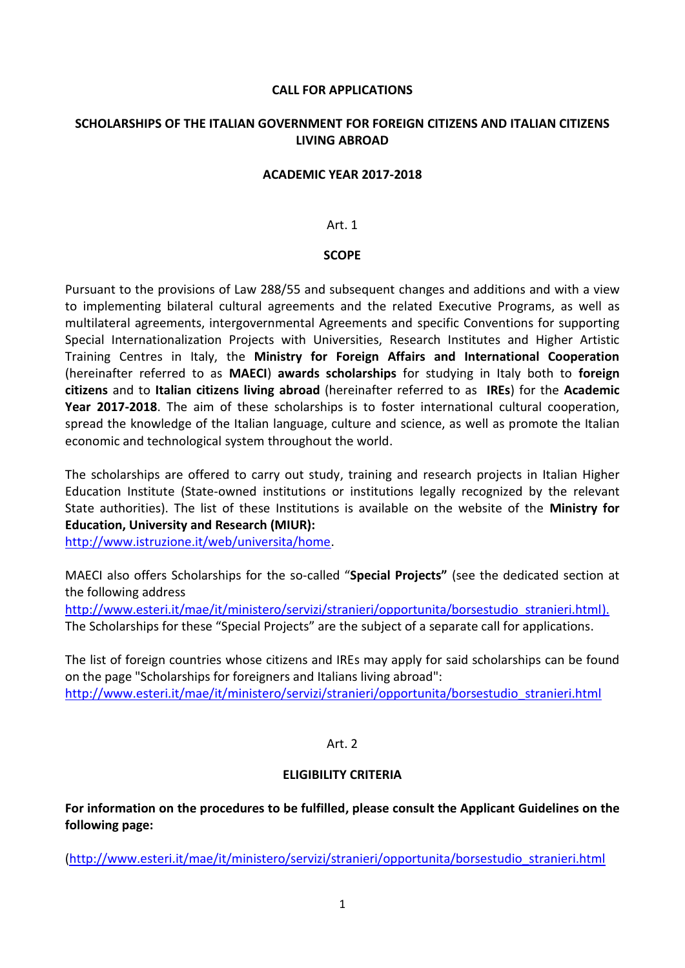#### **CALL FOR APPLICATIONS**

## **SCHOLARSHIPS OF THE ITALIAN GOVERNMENT FOR FOREIGN CITIZENS AND ITALIAN CITIZENS LIVING ABROAD**

#### **ACADEMIC YEAR 2017-2018**

#### Art. 1

#### **SCOPE**

Pursuant to the provisions of Law 288/55 and subsequent changes and additions and with a view to implementing bilateral cultural agreements and the related Executive Programs, as well as multilateral agreements, intergovernmental Agreements and specific Conventions for supporting Special Internationalization Projects with Universities, Research Institutes and Higher Artistic Training Centres in Italy, the **Ministry for Foreign Affairs and International Cooperation** (hereinafter referred to as **MAECI**) **awards scholarships** for studying in Italy both to **foreign citizens** and to **Italian citizens living abroad** (hereinafter referred to as **IREs**) for the **Academic Year 2017-2018**. The aim of these scholarships is to foster international cultural cooperation, spread the knowledge of the Italian language, culture and science, as well as promote the Italian economic and technological system throughout the world.

The scholarships are offered to carry out study, training and research projects in Italian Higher Education Institute (State-owned institutions or institutions legally recognized by the relevant State authorities). The list of these Institutions is available on the website of the **Ministry for Education, University and Research (MIUR):**

[http://www.istruzione.it/web/universita/home.](http://www.istruzione.it/web/universita/home)

MAECI also offers Scholarships for the so-called "**Special Projects"** (see the dedicated section at the following address

http://www.esteri.it/mae/it/ministero/servizi/stranieri/opportunita/borsestudio stranieri.html). The Scholarships for these "Special Projects" are the subject of a separate call for applications.

The list of foreign countries whose citizens and IREs may apply for said scholarships can be found on the page "Scholarships for foreigners and Italians living abroad": [http://www.esteri.it/mae/it/ministero/servizi/stranieri/opportunita/borsestudio\\_stranieri.html](http://www.esteri.it/mae/it/ministero/servizi/stranieri/opportunita/borsestudio_stranieri.html)

## Art. 2

## **ELIGIBILITY CRITERIA**

**For information on the procedures to be fulfilled, please consult the Applicant Guidelines on the following page:**

[\(http://www.esteri.it/mae/it/ministero/servizi/stranieri/opportunita/borsestudio\\_stranieri.html](http://www.esteri.it/mae/it/ministero/servizi/stranieri/opportunita/borsestudio_stranieri.html)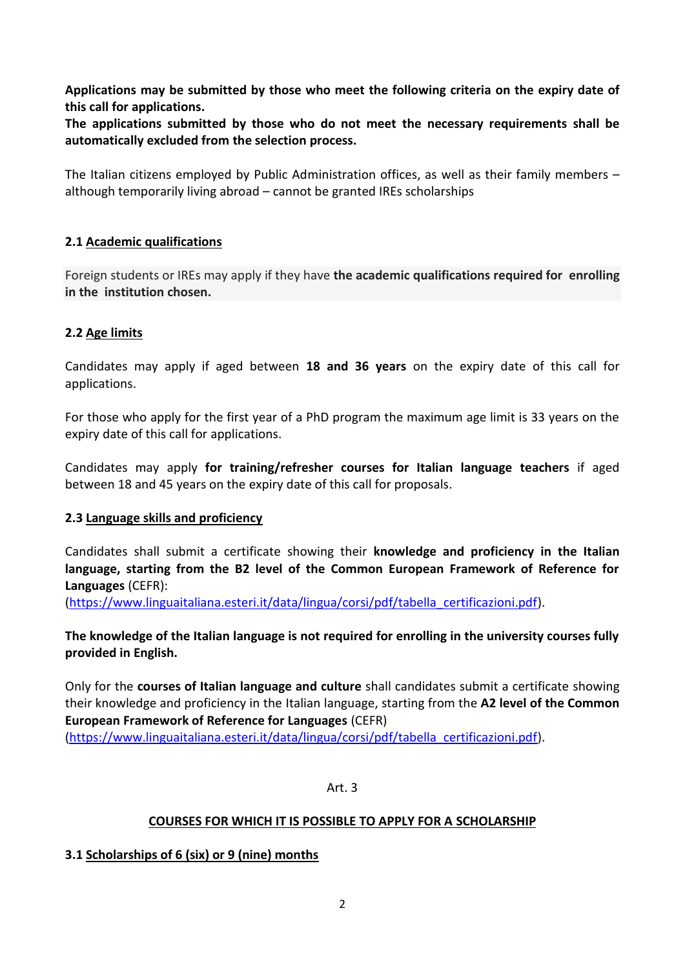**Applications may be submitted by those who meet the following criteria on the expiry date of this call for applications.**

**The applications submitted by those who do not meet the necessary requirements shall be automatically excluded from the selection process.**

The Italian citizens employed by Public Administration offices, as well as their family members – although temporarily living abroad – cannot be granted IREs scholarships

# **2.1 Academic qualifications**

Foreign students or IREs may apply if they have **the academic qualifications required for enrolling in the institution chosen.**

# **2.2 Age limits**

Candidates may apply if aged between **18 and 36 years** on the expiry date of this call for applications.

For those who apply for the first year of a PhD program the maximum age limit is 33 years on the expiry date of this call for applications.

Candidates may apply **for training/refresher courses for Italian language teachers** if aged between 18 and 45 years on the expiry date of this call for proposals.

# **2.3 Language skills and proficiency**

Candidates shall submit a certificate showing their **knowledge and proficiency in the Italian language, starting from the B2 level of the Common European Framework of Reference for Languages** (CEFR):

[\(https://www.linguaitaliana.esteri.it/data/lingua/corsi/pdf/tabella\\_certificazioni.pdf\)](https://www.linguaitaliana.esteri.it/data/lingua/corsi/pdf/tabella_certificazioni.pdf).

**The knowledge of the Italian language is not required for enrolling in the university courses fully provided in English.**

Only for the **courses of Italian language and culture** shall candidates submit a certificate showing their knowledge and proficiency in the Italian language, starting from the **A2 level of the Common European Framework of Reference for Languages** (CEFR) [\(https://www.linguaitaliana.esteri.it/data/lingua/corsi/pdf/tabella\\_certificazioni.pdf\)](https://www.linguaitaliana.esteri.it/data/lingua/corsi/pdf/tabella_certificazioni.pdf).

Art. 3

# **COURSES FOR WHICH IT IS POSSIBLE TO APPLY FOR A SCHOLARSHIP**

# **3.1 Scholarships of 6 (six) or 9 (nine) months**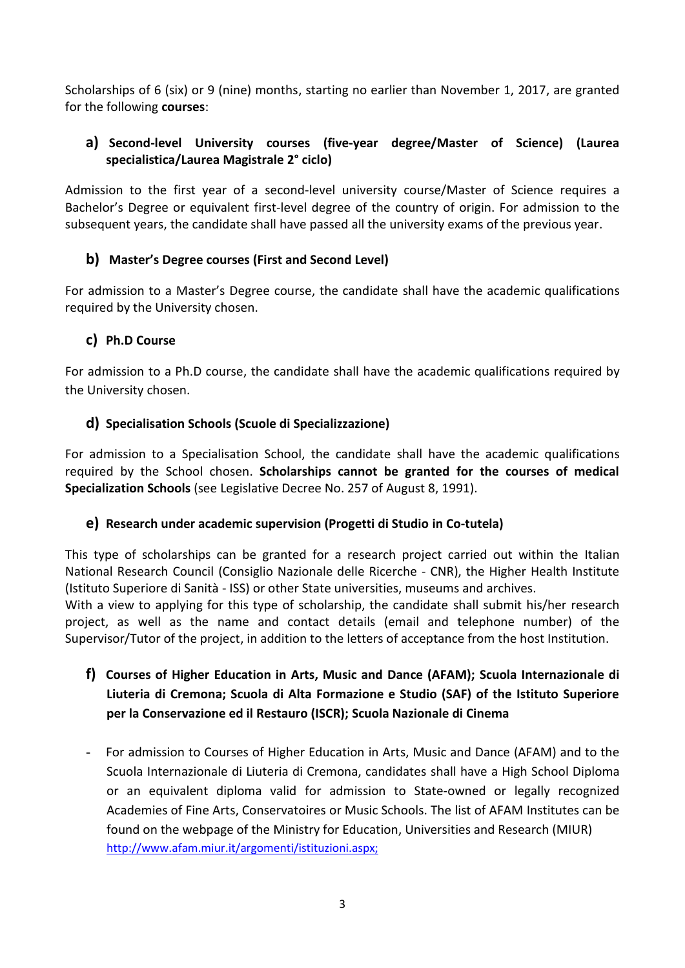Scholarships of 6 (six) or 9 (nine) months, starting no earlier than November 1, 2017, are granted for the following **courses**:

# **a) Second-level University courses (five-year degree/Master of Science) (Laurea specialistica/Laurea Magistrale 2° ciclo)**

Admission to the first year of a second-level university course/Master of Science requires a Bachelor's Degree or equivalent first-level degree of the country of origin. For admission to the subsequent years, the candidate shall have passed all the university exams of the previous year.

# **b) Master's Degree courses (First and Second Level)**

For admission to a Master's Degree course, the candidate shall have the academic qualifications required by the University chosen.

# **c) Ph.D Course**

For admission to a Ph.D course, the candidate shall have the academic qualifications required by the University chosen.

# **d) Specialisation Schools (Scuole di Specializzazione)**

For admission to a Specialisation School, the candidate shall have the academic qualifications required by the School chosen. **Scholarships cannot be granted for the courses of medical Specialization Schools** (see Legislative Decree No. 257 of August 8, 1991).

# **e) Research under academic supervision (Progetti di Studio in Co-tutela)**

This type of scholarships can be granted for a research project carried out within the Italian National Research Council (Consiglio Nazionale delle Ricerche - CNR), the Higher Health Institute (Istituto Superiore di Sanità - ISS) or other State universities, museums and archives.

With a view to applying for this type of scholarship, the candidate shall submit his/her research project, as well as the name and contact details (email and telephone number) of the Supervisor/Tutor of the project, in addition to the letters of acceptance from the host Institution.

# **f) Courses of Higher Education in Arts, Music and Dance (AFAM); Scuola Internazionale di Liuteria di Cremona; Scuola di Alta Formazione e Studio (SAF) of the Istituto Superiore per la Conservazione ed il Restauro (ISCR); Scuola Nazionale di Cinema**

- For admission to Courses of Higher Education in Arts, Music and Dance (AFAM) and to the Scuola Internazionale di Liuteria di Cremona, candidates shall have a High School Diploma or an equivalent diploma valid for admission to State-owned or legally recognized Academies of Fine Arts, Conservatoires or Music Schools. The list of AFAM Institutes can be found on the webpage of the Ministry for Education, Universities and Research (MIUR) http://www.afam.miur.it/argomenti/istituzioni.aspx;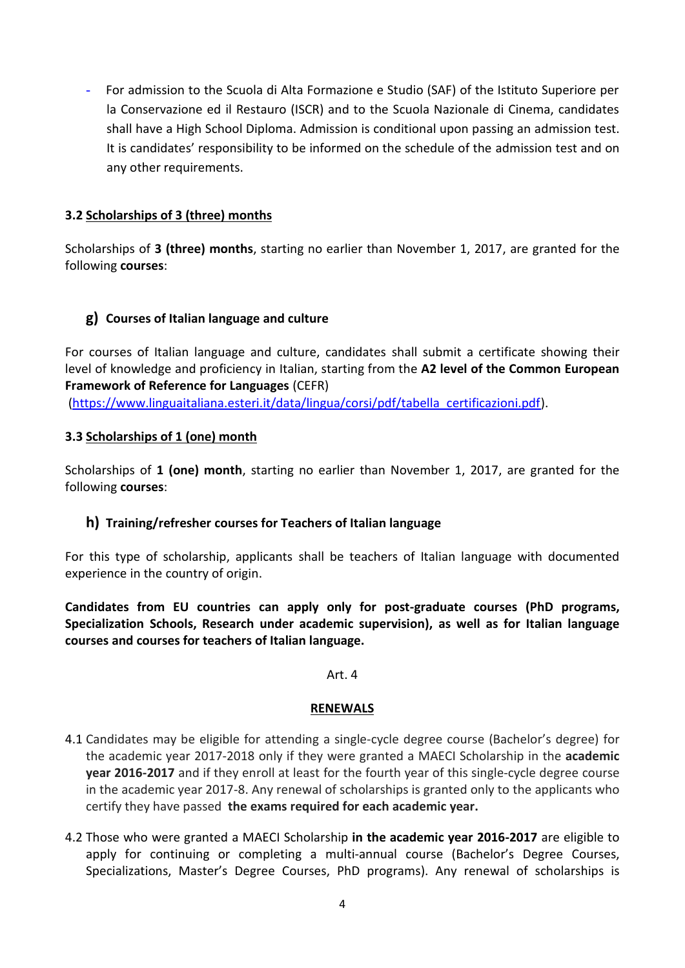- For admission to the Scuola di Alta Formazione e Studio (SAF) of the Istituto Superiore per la Conservazione ed il Restauro (ISCR) and to the Scuola Nazionale di Cinema, candidates shall have a High School Diploma. Admission is conditional upon passing an admission test. It is candidates' responsibility to be informed on the schedule of the admission test and on any other requirements.

# **3.2 Scholarships of 3 (three) months**

Scholarships of **3 (three) months**, starting no earlier than November 1, 2017, are granted for the following **courses**:

# **g) Courses of Italian language and culture**

For courses of Italian language and culture, candidates shall submit a certificate showing their level of knowledge and proficiency in Italian, starting from the **A2 level of the Common European Framework of Reference for Languages** (CEFR) [\(https://www.linguaitaliana.esteri.it/data/lingua/corsi/pdf/tabella\\_certificazioni.pdf\)](https://www.linguaitaliana.esteri.it/data/lingua/corsi/pdf/tabella_certificazioni.pdf).

#### **3.3 Scholarships of 1 (one) month**

Scholarships of **1 (one) month**, starting no earlier than November 1, 2017, are granted for the following **courses**:

## **h) Training/refresher courses for Teachers of Italian language**

For this type of scholarship, applicants shall be teachers of Italian language with documented experience in the country of origin.

**Candidates from EU countries can apply only for post-graduate courses (PhD programs, Specialization Schools, Research under academic supervision), as well as for Italian language courses and courses for teachers of Italian language.**

#### Art. 4

#### **RENEWALS**

- 4.1 Candidates may be eligible for attending a single-cycle degree course (Bachelor's degree) for the academic year 2017-2018 only if they were granted a MAECI Scholarship in the **academic year 2016-2017** and if they enroll at least for the fourth year of this single-cycle degree course in the academic year 2017-8. Any renewal of scholarships is granted only to the applicants who certify they have passed **the exams required for each academic year.**
- 4.2 Those who were granted a MAECI Scholarship **in the academic year 2016-2017** are eligible to apply for continuing or completing a multi-annual course (Bachelor's Degree Courses, Specializations, Master's Degree Courses, PhD programs). Any renewal of scholarships is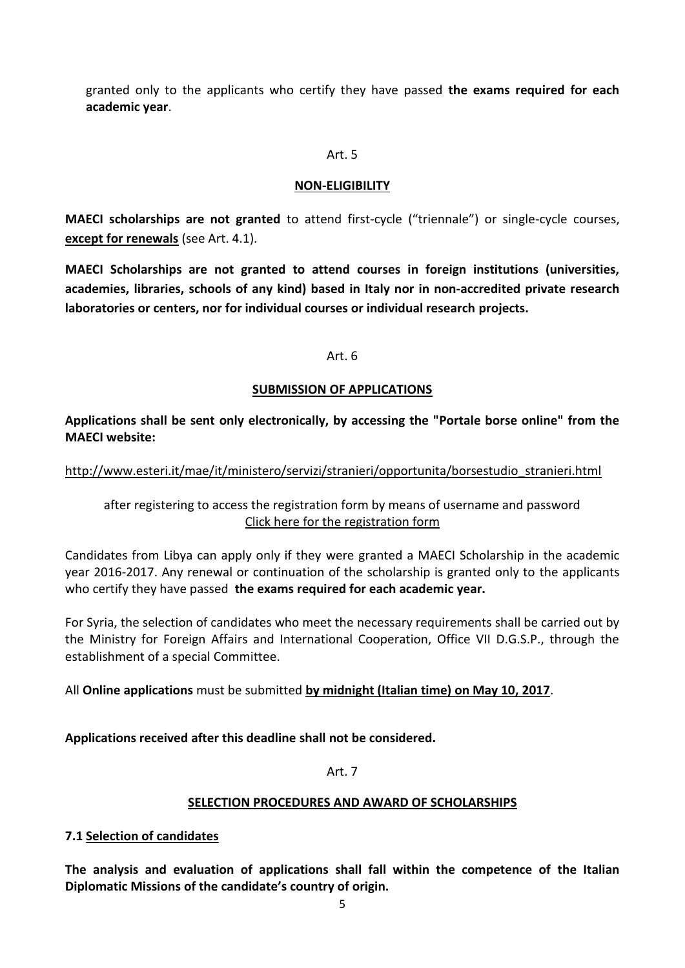granted only to the applicants who certify they have passed **the exams required for each academic year**.

#### Art. 5

### **NON-ELIGIBILITY**

**MAECI scholarships are not granted** to attend first-cycle ("triennale") or single-cycle courses, **except for renewals** (see Art. 4.1).

**MAECI Scholarships are not granted to attend courses in foreign institutions (universities, academies, libraries, schools of any kind) based in Italy nor in non-accredited private research laboratories or centers, nor for individual courses or individual research projects.**

#### Art. 6

## **SUBMISSION OF APPLICATIONS**

**Applications shall be sent only electronically, by accessing the "Portale borse online" from the MAECI website:**

[http://www.esteri.it/mae/it/ministero/servizi/stranieri/opportunita/borsestudio\\_stranieri.html](http://www.esteri.it/mae/it/ministero/servizi/stranieri/opportunita/borsestudio_stranieri.html)

after registering to access the registration form by means of username and password Click here for the registration form

Candidates from Libya can apply only if they were granted a MAECI Scholarship in the academic year 2016-2017. Any renewal or continuation of the scholarship is granted only to the applicants who certify they have passed **the exams required for each academic year.**

For Syria, the selection of candidates who meet the necessary requirements shall be carried out by the Ministry for Foreign Affairs and International Cooperation, Office VII D.G.S.P., through the establishment of a special Committee.

All **Online applications** must be submitted **by midnight (Italian time) on May 10, 2017**.

**Applications received after this deadline shall not be considered.**

Art. 7

## **SELECTION PROCEDURES AND AWARD OF SCHOLARSHIPS**

## **7.1 Selection of candidates**

**The analysis and evaluation of applications shall fall within the competence of the Italian Diplomatic Missions of the candidate's country of origin.**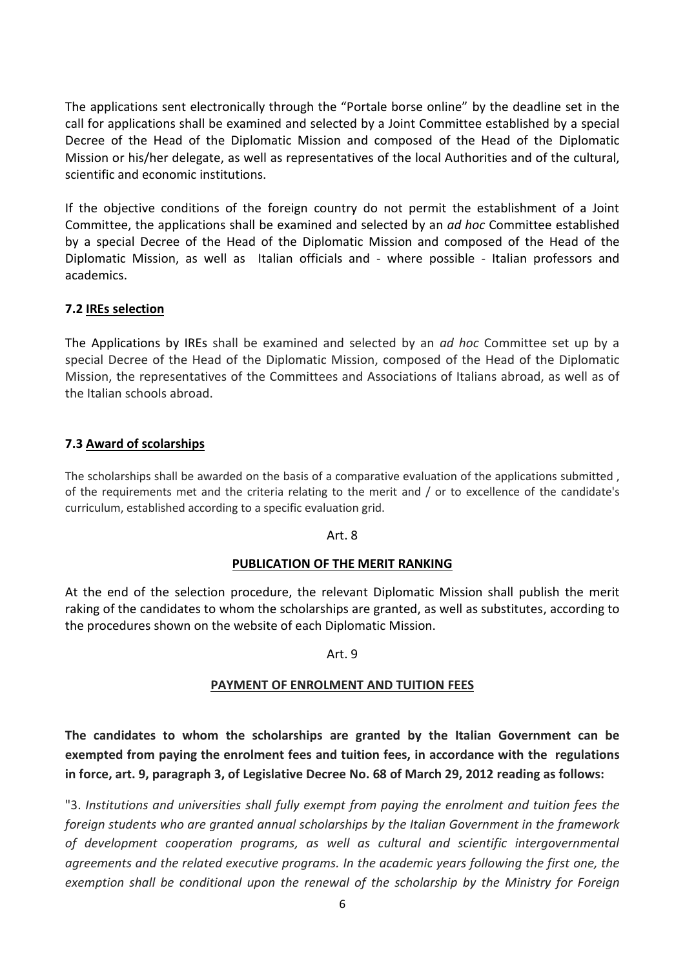The applications sent electronically through the "Portale borse online" by the deadline set in the call for applications shall be examined and selected by a Joint Committee established by a special Decree of the Head of the Diplomatic Mission and composed of the Head of the Diplomatic Mission or his/her delegate, as well as representatives of the local Authorities and of the cultural, scientific and economic institutions.

If the objective conditions of the foreign country do not permit the establishment of a Joint Committee, the applications shall be examined and selected by an *ad hoc* Committee established by a special Decree of the Head of the Diplomatic Mission and composed of the Head of the Diplomatic Mission, as well as Italian officials and - where possible - Italian professors and academics.

# **7.2 IREs selection**

The Applications by IREs shall be examined and selected by an *ad hoc* Committee set up by a special Decree of the Head of the Diplomatic Mission, composed of the Head of the Diplomatic Mission, the representatives of the Committees and Associations of Italians abroad, as well as of the Italian schools abroad.

## **7.3 Award of scolarships**

The scholarships shall be awarded on the basis of a comparative evaluation of the applications submitted , of the requirements met and the criteria relating to the merit and / or to excellence of the candidate's curriculum, established according to a specific evaluation grid.

## Art. 8

## **PUBLICATION OF THE MERIT RANKING**

At the end of the selection procedure, the relevant Diplomatic Mission shall publish the merit raking of the candidates to whom the scholarships are granted, as well as substitutes, according to the procedures shown on the website of each Diplomatic Mission.

## Art. 9

## **PAYMENT OF ENROLMENT AND TUITION FEES**

**The candidates to whom the scholarships are granted by the Italian Government can be exempted from paying the enrolment fees and tuition fees, in accordance with the regulations in force, art. 9, paragraph 3, of Legislative Decree No. 68 of March 29, 2012 reading as follows:**

"3. *Institutions and universities shall fully exempt from paying the enrolment and tuition fees the foreign students who are granted annual scholarships by the Italian Government in the framework of development cooperation programs, as well as cultural and scientific intergovernmental agreements and the related executive programs. In the academic years following the first one, the exemption shall be conditional upon the renewal of the scholarship by the Ministry for Foreign*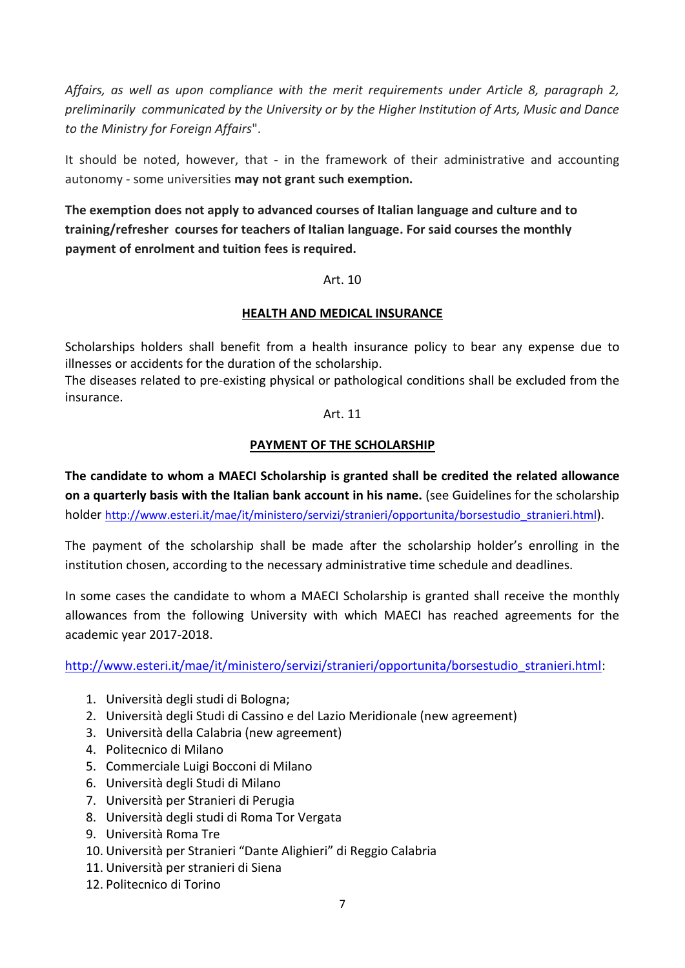*Affairs, as well as upon compliance with the merit requirements under Article 8, paragraph 2, preliminarily communicated by the University or by the Higher Institution of Arts, Music and Dance to the Ministry for Foreign Affairs*".

It should be noted, however, that - in the framework of their administrative and accounting autonomy - some universities **may not grant such exemption.**

**The exemption does not apply to advanced courses of Italian language and culture and to training/refresher courses for teachers of Italian language. For said courses the monthly payment of enrolment and tuition fees is required.**

## Art. 10

# **HEALTH AND MEDICAL INSURANCE**

Scholarships holders shall benefit from a health insurance policy to bear any expense due to illnesses or accidents for the duration of the scholarship.

The diseases related to pre-existing physical or pathological conditions shall be excluded from the insurance.

## Art. 11

## **PAYMENT OF THE SCHOLARSHIP**

**The candidate to whom a MAECI Scholarship is granted shall be credited the related allowance on a quarterly basis with the Italian bank account in his name.** (see Guidelines for the scholarship holder [http://www.esteri.it/mae/it/ministero/servizi/stranieri/opportunita/borsestudio\\_stranieri.html](http://www.esteri.it/mae/it/ministero/servizi/stranieri/opportunita/borsestudio_stranieri.html)).

The payment of the scholarship shall be made after the scholarship holder's enrolling in the institution chosen, according to the necessary administrative time schedule and deadlines.

In some cases the candidate to whom a MAECI Scholarship is granted shall receive the monthly allowances from the following University with which MAECI has reached agreements for the academic year 2017-2018.

[http://www.esteri.it/mae/it/ministero/servizi/stranieri/opportunita/borsestudio\\_stranieri.html:](http://www.esteri.it/mae/it/ministero/servizi/stranieri/opportunita/borsestudio_stranieri.html)

- 1. Università degli studi di Bologna;
- 2. Università degli Studi di Cassino e del Lazio Meridionale (new agreement)
- 3. Università della Calabria (new agreement)
- 4. Politecnico di Milano
- 5. Commerciale Luigi Bocconi di Milano
- 6. Università degli Studi di Milano
- 7. Università per Stranieri di Perugia
- 8. Università degli studi di Roma Tor Vergata
- 9. Università Roma Tre
- 10. Università per Stranieri "Dante Alighieri" di Reggio Calabria
- 11. Università per stranieri di Siena
- 12. Politecnico di Torino